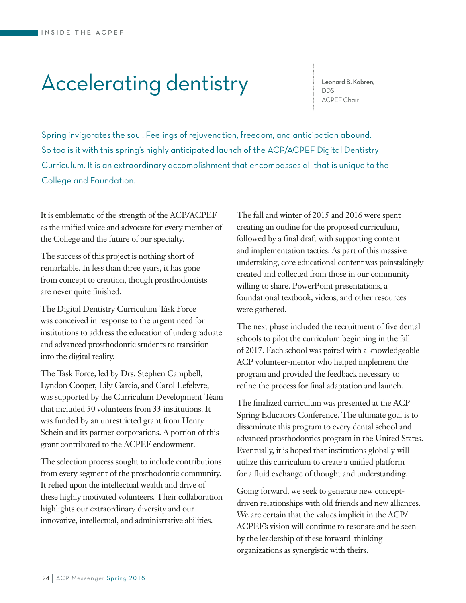## Accelerating dentistry

Leonard B. Kobren, DDS ACPEF Chair

Spring invigorates the soul. Feelings of rejuvenation, freedom, and anticipation abound. So too is it with this spring's highly anticipated launch of the ACP/ACPEF Digital Dentistry Curriculum. It is an extraordinary accomplishment that encompasses all that is unique to the College and Foundation.

It is emblematic of the strength of the ACP/ACPEF as the unified voice and advocate for every member of the College and the future of our specialty.

The success of this project is nothing short of remarkable. In less than three years, it has gone from concept to creation, though prosthodontists are never quite finished.

The Digital Dentistry Curriculum Task Force was conceived in response to the urgent need for institutions to address the education of undergraduate and advanced prosthodontic students to transition into the digital reality.

The Task Force, led by Drs. Stephen Campbell, Lyndon Cooper, Lily Garcia, and Carol Lefebvre, was supported by the Curriculum Development Team that included 50 volunteers from 33 institutions. It was funded by an unrestricted grant from Henry Schein and its partner corporations. A portion of this grant contributed to the ACPEF endowment.

The selection process sought to include contributions from every segment of the prosthodontic community. It relied upon the intellectual wealth and drive of these highly motivated volunteers. Their collaboration highlights our extraordinary diversity and our innovative, intellectual, and administrative abilities.

The fall and winter of 2015 and 2016 were spent creating an outline for the proposed curriculum, followed by a final draft with supporting content and implementation tactics. As part of this massive undertaking, core educational content was painstakingly created and collected from those in our community willing to share. PowerPoint presentations, a foundational textbook, videos, and other resources were gathered.

The next phase included the recruitment of five dental schools to pilot the curriculum beginning in the fall of 2017. Each school was paired with a knowledgeable ACP volunteer-mentor who helped implement the program and provided the feedback necessary to refine the process for final adaptation and launch.

The finalized curriculum was presented at the ACP Spring Educators Conference. The ultimate goal is to disseminate this program to every dental school and advanced prosthodontics program in the United States. Eventually, it is hoped that institutions globally will utilize this curriculum to create a unified platform for a fluid exchange of thought and understanding.

Going forward, we seek to generate new conceptdriven relationships with old friends and new alliances. We are certain that the values implicit in the ACP/ ACPEF's vision will continue to resonate and be seen by the leadership of these forward-thinking organizations as synergistic with theirs.